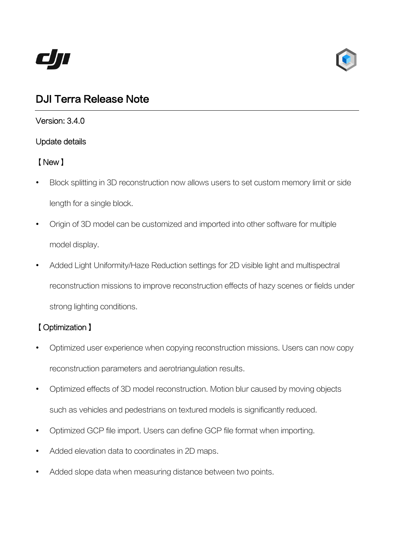



# DJI Terra Release Note

Version: 3.4.0

### Update details

# 【New】

- Block splitting in 3D reconstruction now allows users to set custom memory limit or side length for a single block.
- Origin of 3D model can be customized and imported into other software for multiple model display.
- Added Light Uniformity/Haze Reduction settings for 2D visible light and multispectral reconstruction missions to improve reconstruction effects of hazy scenes or fields under strong lighting conditions.

# 【Optimization】

- Optimized user experience when copying reconstruction missions. Users can now copy reconstruction parameters and aerotriangulation results.
- Optimized effects of 3D model reconstruction. Motion blur caused by moving objects such as vehicles and pedestrians on textured models is significantly reduced.
- Optimized GCP file import. Users can define GCP file format when importing.
- Added elevation data to coordinates in 2D maps.
- Added slope data when measuring distance between two points.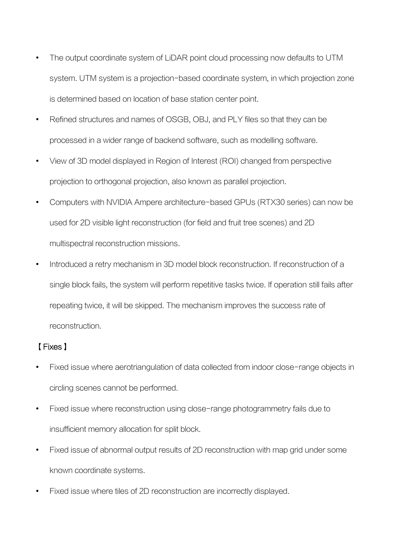- The output coordinate system of LiDAR point cloud processing now defaults to UTM system. UTM system is a projection-based coordinate system, in which projection zone is determined based on location of base station center point.
- Refined structures and names of OSGB, OBJ, and PLY files so that they can be processed in a wider range of backend software, such as modelling software.
- View of 3D model displayed in Region of Interest (ROI) changed from perspective projection to orthogonal projection, also known as parallel projection.
- Computers with NVIDIA Ampere architecture-based GPUs (RTX30 series) can now be used for 2D visible light reconstruction (for field and fruit tree scenes) and 2D multispectral reconstruction missions.
- Introduced a retry mechanism in 3D model block reconstruction. If reconstruction of a single block fails, the system will perform repetitive tasks twice. If operation still fails after repeating twice, it will be skipped. The mechanism improves the success rate of reconstruction.

## 【Fixes】

- Fixed issue where aerotriangulation of data collected from indoor close-range objects in circling scenes cannot be performed.
- Fixed issue where reconstruction using close-range photogrammetry fails due to insufficient memory allocation for split block.
- Fixed issue of abnormal output results of 2D reconstruction with map grid under some known coordinate systems.
- Fixed issue where tiles of 2D reconstruction are incorrectly displayed.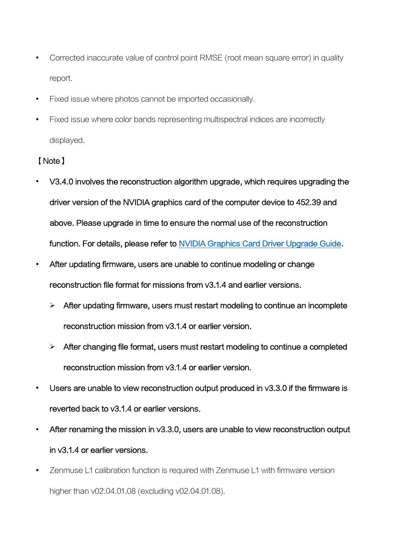- Corrected inaccurate value of control point RMSE (root mean square error) in quality report.
- Fixed issue where photos cannot be imported occasionally.
- Fixed issue where color bands representing multispectral indices are incorrectly displayed.

### 【Note】

- V3.4.0 involves the reconstruction algorithm upgrade, which requires upgrading the driver version of the NVIDIA graphics card of the computer device to 452.39 and above. Please upgrade in time to ensure the normal use of the reconstruction function. For details, please refer to [NVIDIA Graphics Card Driver Upgrade Guide.](https://terra-1-g.djicdn.com/851d20f7b9f64838a34cd02351370894/DJI%20Terra/%E5%85%B6%E4%BB%96%E6%96%87%E6%A1%A3/%E4%BA%A7%E5%93%81%E7%9B%B8%E5%85%B3/NVIDIA%20GPU%20driver%20upgrade%20guide.pdf)
- After updating firmware, users are unable to continue modeling or change reconstruction file format for missions from v3.1.4 and earlier versions.
	- $\triangleright$  After updating firmware, users must restart modeling to continue an incomplete reconstruction mission from v3.1.4 or earlier version.
	- $\triangleright$  After changing file format, users must restart modeling to continue a completed reconstruction mission from v3.1.4 or earlier version.
- Users are unable to view reconstruction output produced in v3.3.0 if the firmware is reverted back to v3.1.4 or earlier versions.
- After renaming the mission in v3.3.0, users are unable to view reconstruction output in v3.1.4 or earlier versions.
- Zenmuse L1 calibration function is required with Zenmuse L1 with firmware version higher than v02.04.01.08 (excluding v02.04.01.08).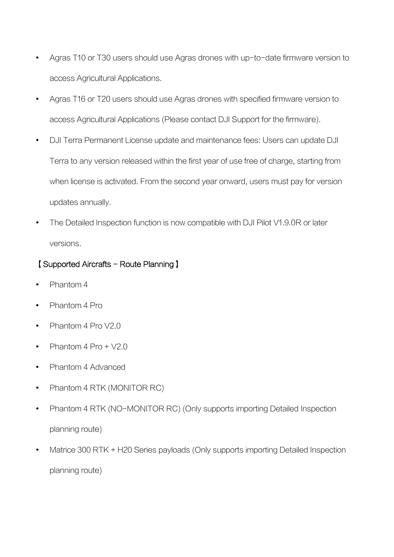- Agras T10 or T30 users should use Agras drones with up-to-date firmware version to access Agricultural Applications.
- Agras T16 or T20 users should use Agras drones with specified firmware version to access Agricultural Applications (Please contact DJI Support for the firmware).
- DJI Terra Permanent License update and maintenance fees: Users can update DJI Terra to any version released within the first year of use free of charge, starting from when license is activated. From the second year onward, users must pay for version updates annually.
- The Detailed Inspection function is now compatible with DJI Pilot V1.9.0R or later versions.

## 【Supported Aircrafts - Route Planning】

- Phantom 4
- Phantom 4 Pro
- Phantom 4 Pro V2.0
- Phantom  $4$  Pro  $+$  V2.0
- Phantom 4 Advanced
- Phantom 4 RTK (MONITOR RC)
- Phantom 4 RTK (NO-MONITOR RC) (Only supports importing Detailed Inspection planning route)
- Matrice 300 RTK + H20 Series payloads (Only supports importing Detailed Inspection planning route)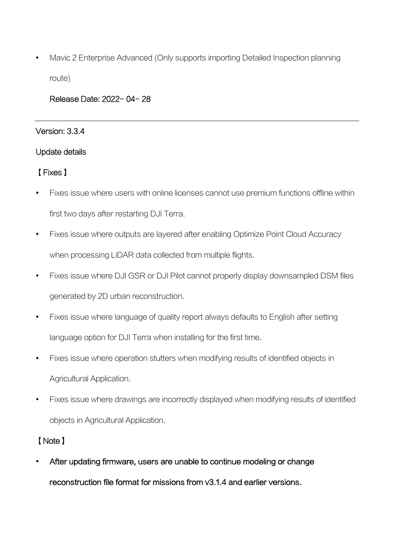Mavic 2 Enterprise Advanced (Only supports importing Detailed Inspection planning route)

#### Release Date: 2022- 04- 28

#### Version: 3.3.4

#### Update details

### 【Fixes】

- Fixes issue where users with online licenses cannot use premium functions offline within first two days after restarting DJI Terra.
- Fixes issue where outputs are layered after enabling Optimize Point Cloud Accuracy when processing LiDAR data collected from multiple flights.
- Fixes issue where DJI GSR or DJI Pilot cannot properly display downsampled DSM files generated by 2D urban reconstruction.
- Fixes issue where language of quality report always defaults to English after setting language option for DJI Terra when installing for the first time.
- Fixes issue where operation stutters when modifying results of identified objects in Agricultural Application.
- Fixes issue where drawings are incorrectly displayed when modifying results of identified objects in Agricultural Application.

## 【Note】

 After updating firmware, users are unable to continue modeling or change reconstruction file format for missions from v3.1.4 and earlier versions.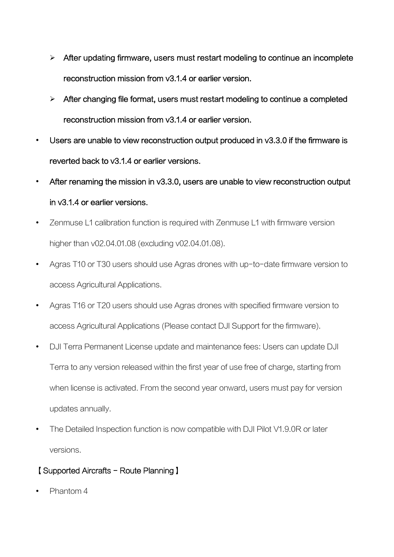- $\triangleright$  After updating firmware, users must restart modeling to continue an incomplete reconstruction mission from v3.1.4 or earlier version.
- $\triangleright$  After changing file format, users must restart modeling to continue a completed reconstruction mission from v3.1.4 or earlier version.
- Users are unable to view reconstruction output produced in v3.3.0 if the firmware is reverted back to v3.1.4 or earlier versions.
- After renaming the mission in v3.3.0, users are unable to view reconstruction output in v3.1.4 or earlier versions.
- Zenmuse L1 calibration function is required with Zenmuse L1 with firmware version higher than v02.04.01.08 (excluding v02.04.01.08).
- Agras T10 or T30 users should use Agras drones with up-to-date firmware version to access Agricultural Applications.
- Agras T16 or T20 users should use Agras drones with specified firmware version to access Agricultural Applications (Please contact DJI Support for the firmware).
- DJI Terra Permanent License update and maintenance fees: Users can update DJI Terra to any version released within the first year of use free of charge, starting from when license is activated. From the second year onward, users must pay for version updates annually.
- The Detailed Inspection function is now compatible with DJI Pilot V1.9.0R or later versions.

## 【Supported Aircrafts - Route Planning】

Phantom 4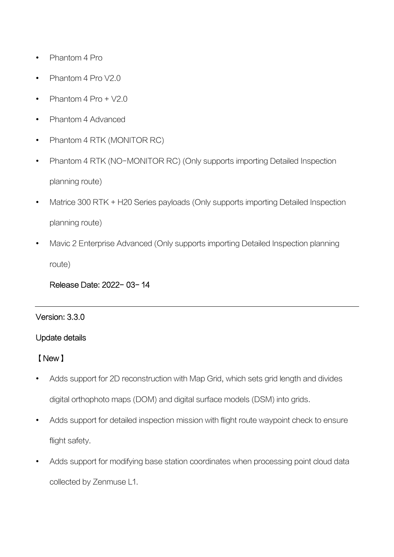- Phantom 4 Pro
- Phantom 4 Pro V2.0
- Phantom 4 Pro + V2.0
- Phantom 4 Advanced
- Phantom 4 RTK (MONITOR RC)
- Phantom 4 RTK (NO-MONITOR RC) (Only supports importing Detailed Inspection planning route)
- Matrice 300 RTK + H20 Series payloads (Only supports importing Detailed Inspection planning route)
- Mavic 2 Enterprise Advanced (Only supports importing Detailed Inspection planning route)

Release Date: 2022- 03- 14

#### Version: 3.3.0

#### Update details

#### 【New】

- Adds support for 2D reconstruction with Map Grid, which sets grid length and divides digital orthophoto maps (DOM) and digital surface models (DSM) into grids.
- Adds support for detailed inspection mission with flight route waypoint check to ensure flight safety.
- Adds support for modifying base station coordinates when processing point cloud data collected by Zenmuse L1.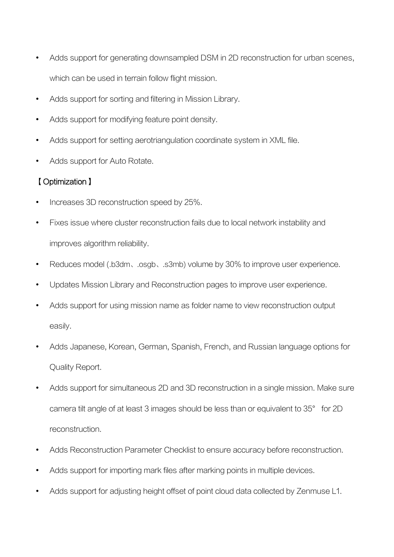- Adds support for generating downsampled DSM in 2D reconstruction for urban scenes, which can be used in terrain follow flight mission.
- Adds support for sorting and filtering in Mission Library.
- Adds support for modifying feature point density.
- Adds support for setting aerotriangulation coordinate system in XML file.
- Adds support for Auto Rotate.

# 【Optimization】

- Increases 3D reconstruction speed by 25%.
- Fixes issue where cluster reconstruction fails due to local network instability and improves algorithm reliability.
- Reduces model (.b3dm、.osgb、.s3mb) volume by 30% to improve user experience.
- Updates Mission Library and Reconstruction pages to improve user experience.
- Adds support for using mission name as folder name to view reconstruction output easily.
- Adds Japanese, Korean, German, Spanish, French, and Russian language options for Quality Report.
- Adds support for simultaneous 2D and 3D reconstruction in a single mission. Make sure camera tilt angle of at least 3 images should be less than or equivalent to 35° for 2D reconstruction.
- Adds Reconstruction Parameter Checklist to ensure accuracy before reconstruction.
- Adds support for importing mark files after marking points in multiple devices.
- Adds support for adjusting height offset of point cloud data collected by Zenmuse L1.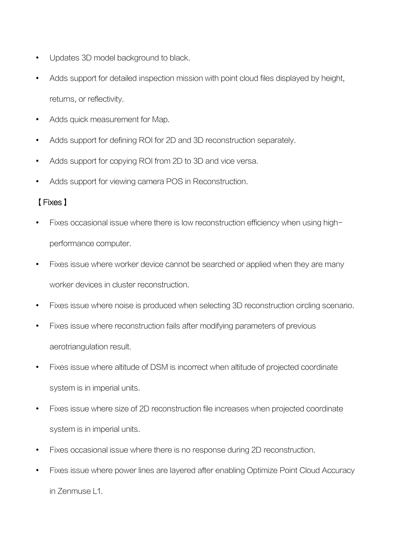- Updates 3D model background to black.
- Adds support for detailed inspection mission with point cloud files displayed by height, returns, or reflectivity.
- Adds quick measurement for Map.
- Adds support for defining ROI for 2D and 3D reconstruction separately.
- Adds support for copying ROI from 2D to 3D and vice versa.
- Adds support for viewing camera POS in Reconstruction.

## 【Fixes】

- Fixes occasional issue where there is low reconstruction efficiency when using highperformance computer.
- Fixes issue where worker device cannot be searched or applied when they are many worker devices in cluster reconstruction.
- Fixes issue where noise is produced when selecting 3D reconstruction circling scenario.
- Fixes issue where reconstruction fails after modifying parameters of previous aerotriangulation result.
- Fixes issue where altitude of DSM is incorrect when altitude of projected coordinate system is in imperial units.
- Fixes issue where size of 2D reconstruction file increases when projected coordinate system is in imperial units.
- Fixes occasional issue where there is no response during 2D reconstruction.
- Fixes issue where power lines are layered after enabling Optimize Point Cloud Accuracy in Zenmuse L1.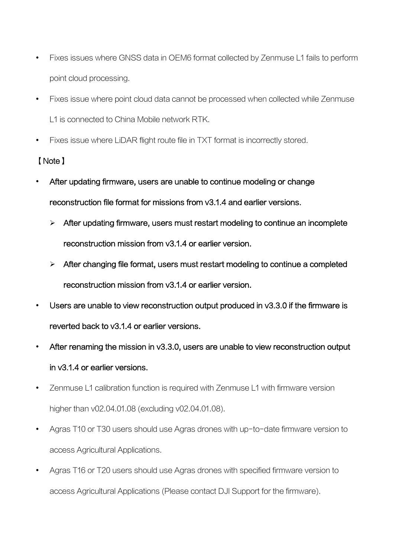- Fixes issues where GNSS data in OEM6 format collected by Zenmuse L1 fails to perform point cloud processing.
- Fixes issue where point cloud data cannot be processed when collected while Zenmuse L1 is connected to China Mobile network RTK.
- Fixes issue where LiDAR flight route file in TXT format is incorrectly stored.

## 【Note】

- After updating firmware, users are unable to continue modeling or change reconstruction file format for missions from v3.1.4 and earlier versions.
	- $\triangleright$  After updating firmware, users must restart modeling to continue an incomplete reconstruction mission from v3.1.4 or earlier version.
	- $\triangleright$  After changing file format, users must restart modeling to continue a completed reconstruction mission from v3.1.4 or earlier version.
- Users are unable to view reconstruction output produced in v3.3.0 if the firmware is reverted back to v3.1.4 or earlier versions.
- After renaming the mission in v3.3.0, users are unable to view reconstruction output in v3.1.4 or earlier versions.
- Zenmuse L1 calibration function is required with Zenmuse L1 with firmware version higher than v02.04.01.08 (excluding v02.04.01.08).
- Agras T10 or T30 users should use Agras drones with up-to-date firmware version to access Agricultural Applications.
- Agras T16 or T20 users should use Agras drones with specified firmware version to access Agricultural Applications (Please contact DJI Support for the firmware).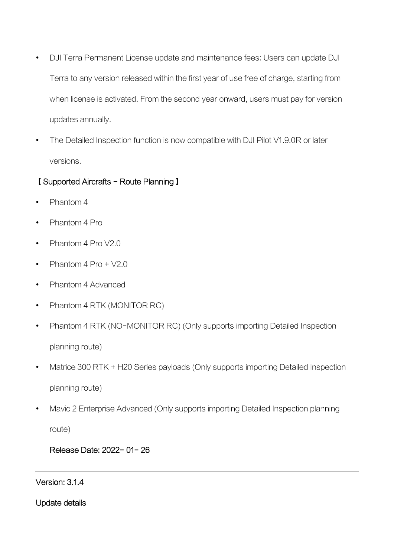- DJI Terra Permanent License update and maintenance fees: Users can update DJI Terra to any version released within the first year of use free of charge, starting from when license is activated. From the second year onward, users must pay for version updates annually.
- The Detailed Inspection function is now compatible with DJI Pilot V1.9.0R or later versions.

### 【Supported Aircrafts - Route Planning】

- Phantom 4
- Phantom 4 Pro
- Phantom 4 Pro V2.0
- Phantom  $4$  Pro +  $\sqrt{2.0}$
- Phantom 4 Advanced
- Phantom 4 RTK (MONITOR RC)
- Phantom 4 RTK (NO-MONITOR RC) (Only supports importing Detailed Inspection planning route)
- Matrice 300 RTK + H20 Series payloads (Only supports importing Detailed Inspection planning route)
- Mavic 2 Enterprise Advanced (Only supports importing Detailed Inspection planning

route)

### Release Date: 2022- 01- 26

#### Version: 3.1.4

Update details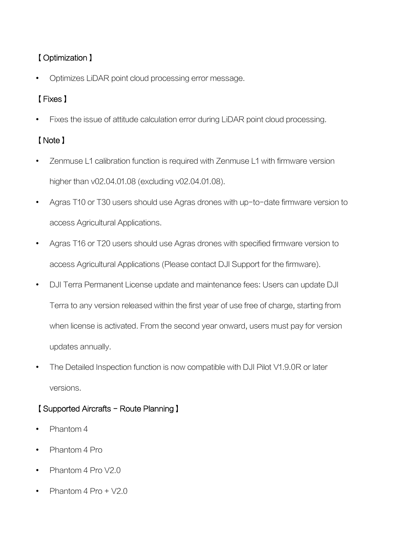# 【Optimization】

Optimizes LiDAR point cloud processing error message.

# 【Fixes】

Fixes the issue of attitude calculation error during LiDAR point cloud processing.

# 【Note】

- Zenmuse L1 calibration function is required with Zenmuse L1 with firmware version higher than v02.04.01.08 (excluding v02.04.01.08).
- Agras T10 or T30 users should use Agras drones with up-to-date firmware version to access Agricultural Applications.
- Agras T16 or T20 users should use Agras drones with specified firmware version to access Agricultural Applications (Please contact DJI Support for the firmware).
- DJI Terra Permanent License update and maintenance fees: Users can update DJI Terra to any version released within the first year of use free of charge, starting from when license is activated. From the second year onward, users must pay for version updates annually.
- The Detailed Inspection function is now compatible with DJI Pilot V1.9.0R or later versions.

# 【Supported Aircrafts - Route Planning】

- Phantom 4
- Phantom 4 Pro
- Phantom 4 Pro V2.0
- Phantom 4 Pro + V2.0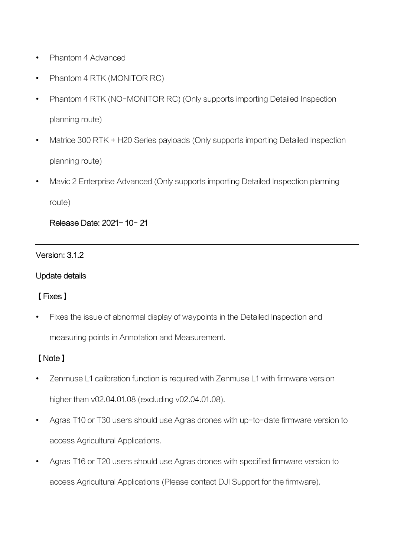- Phantom 4 Advanced
- Phantom 4 RTK (MONITOR RC)
- Phantom 4 RTK (NO-MONITOR RC) (Only supports importing Detailed Inspection planning route)
- Matrice 300 RTK + H20 Series payloads (Only supports importing Detailed Inspection planning route)
- Mavic 2 Enterprise Advanced (Only supports importing Detailed Inspection planning route)

### Release Date: 2021- 10- 21

#### Version: 3.1.2

#### Update details

### 【Fixes】

Fixes the issue of abnormal display of waypoints in the Detailed Inspection and

measuring points in Annotation and Measurement.

# 【Note】

- Zenmuse L1 calibration function is required with Zenmuse L1 with firmware version higher than v02.04.01.08 (excluding v02.04.01.08).
- Agras T10 or T30 users should use Agras drones with up-to-date firmware version to access Agricultural Applications.
- Agras T16 or T20 users should use Agras drones with specified firmware version to access Agricultural Applications (Please contact DJI Support for the firmware).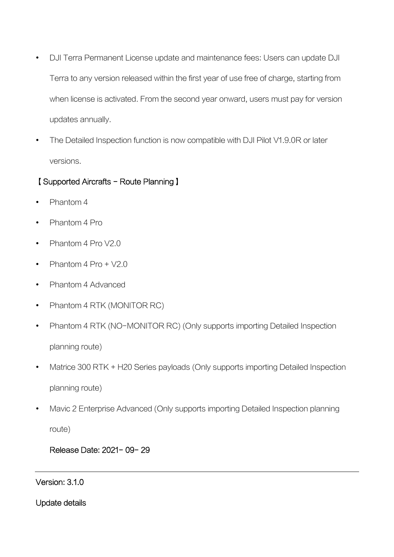- DJI Terra Permanent License update and maintenance fees: Users can update DJI Terra to any version released within the first year of use free of charge, starting from when license is activated. From the second year onward, users must pay for version updates annually.
- The Detailed Inspection function is now compatible with DJI Pilot V1.9.0R or later versions.

### 【Supported Aircrafts - Route Planning】

- Phantom 4
- Phantom 4 Pro
- Phantom 4 Pro V2.0
- Phantom  $4$  Pro +  $\sqrt{2.0}$
- Phantom 4 Advanced
- Phantom 4 RTK (MONITOR RC)
- Phantom 4 RTK (NO-MONITOR RC) (Only supports importing Detailed Inspection planning route)
- Matrice 300 RTK + H20 Series payloads (Only supports importing Detailed Inspection planning route)
- Mavic 2 Enterprise Advanced (Only supports importing Detailed Inspection planning

route)

## Release Date: 2021- 09- 29

#### Version: 3.1.0

Update details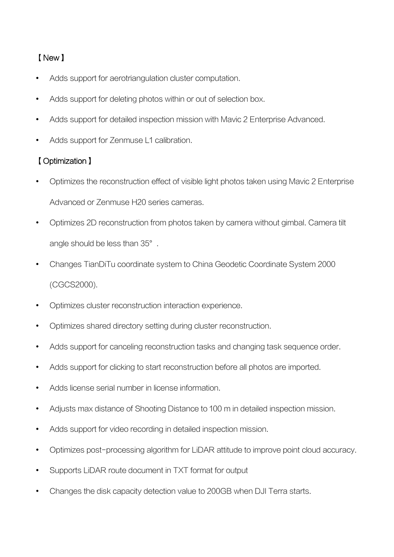# 【New】

- Adds support for aerotriangulation cluster computation.
- Adds support for deleting photos within or out of selection box.
- Adds support for detailed inspection mission with Mavic 2 Enterprise Advanced.
- Adds support for Zenmuse L1 calibration.

## 【Optimization】

- Optimizes the reconstruction effect of visible light photos taken using Mavic 2 Enterprise Advanced or Zenmuse H20 series cameras.
- Optimizes 2D reconstruction from photos taken by camera without gimbal. Camera tilt angle should be less than 35°.
- Changes TianDiTu coordinate system to China Geodetic Coordinate System 2000 (CGCS2000).
- Optimizes cluster reconstruction interaction experience.
- Optimizes shared directory setting during cluster reconstruction.
- Adds support for canceling reconstruction tasks and changing task sequence order.
- Adds support for clicking to start reconstruction before all photos are imported.
- Adds license serial number in license information.
- Adjusts max distance of Shooting Distance to 100 m in detailed inspection mission.
- Adds support for video recording in detailed inspection mission.
- Optimizes post-processing algorithm for LiDAR attitude to improve point cloud accuracy.
- Supports LiDAR route document in TXT format for output
- Changes the disk capacity detection value to 200GB when DJI Terra starts.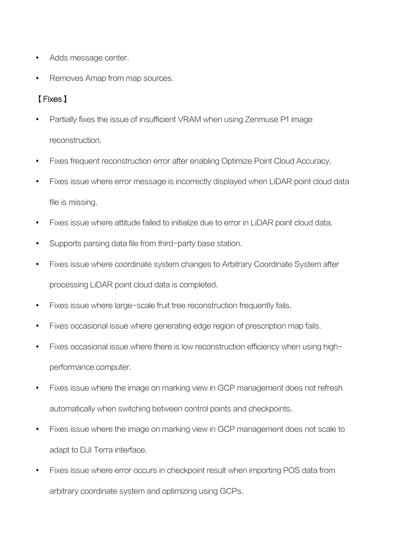- Adds message center.
- Removes Amap from map sources.

## 【Fixes】

- Partially fixes the issue of insufficient VRAM when using Zenmuse P1 image reconstruction.
- Fixes frequent reconstruction error after enabling Optimize Point Cloud Accuracy.
- Fixes issue where error message is incorrectly displayed when LiDAR point cloud data file is missing.
- Fixes issue where attitude failed to initialize due to error in LiDAR point cloud data.
- Supports parsing data file from third-party base station.
- Fixes issue where coordinate system changes to Arbitrary Coordinate System after processing LiDAR point cloud data is completed.
- Fixes issue where large-scale fruit tree reconstruction frequently fails.
- Fixes occasional issue where generating edge region of prescription map fails.
- Fixes occasional issue where there is low reconstruction efficiency when using highperformance computer.
- Fixes issue where the image on marking view in GCP management does not refresh automatically when switching between control points and checkpoints.
- Fixes issue where the image on marking view in GCP management does not scale to adapt to DJI Terra interface.
- Fixes issue where error occurs in checkpoint result when importing POS data from arbitrary coordinate system and optimizing using GCPs.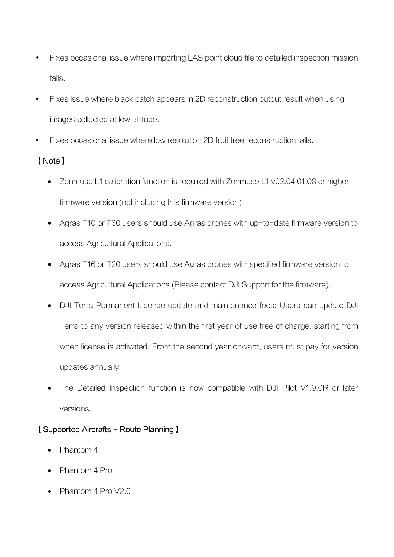- Fixes occasional issue where importing LAS point cloud file to detailed inspection mission fails.
- Fixes issue where black patch appears in 2D reconstruction output result when using images collected at low altitude.
- Fixes occasional issue where low resolution 2D fruit tree reconstruction fails.

# 【Note】

- Zenmuse L1 calibration function is required with Zenmuse L1 v02.04.01.08 or higher firmware version (not including this firmware version)
- Agras T10 or T30 users should use Agras drones with up-to-date firmware version to access Agricultural Applications.
- Agras T16 or T20 users should use Agras drones with specified firmware version to access Agricultural Applications (Please contact DJI Support for the firmware).
- DJI Terra Permanent License update and maintenance fees: Users can update DJI Terra to any version released within the first year of use free of charge, starting from when license is activated. From the second year onward, users must pay for version updates annually.
- The Detailed Inspection function is now compatible with DJI Pilot V1.9.0R or later versions.

# 【Supported Aircrafts - Route Planning】

- Phantom 4
- Phantom 4 Pro
- $\bullet$  Phantom 4 Pro V2.0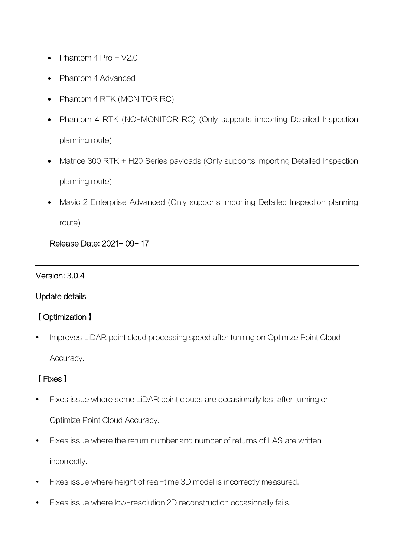- Phantom  $4$  Pro  $+$  V<sub>2</sub>.0
- Phantom 4 Advanced
- Phantom 4 RTK (MONITOR RC)
- Phantom 4 RTK (NO-MONITOR RC) (Only supports importing Detailed Inspection planning route)
- Matrice 300 RTK + H20 Series payloads (Only supports importing Detailed Inspection planning route)
- Mavic 2 Enterprise Advanced (Only supports importing Detailed Inspection planning route)

Release Date: 2021- 09- 17

#### Version: 3.0.4

#### Update details

### 【Optimization】

 Improves LiDAR point cloud processing speed after turning on Optimize Point Cloud Accuracy.

## 【Fixes】

- Fixes issue where some LiDAR point clouds are occasionally lost after turning on Optimize Point Cloud Accuracy.
- Fixes issue where the return number and number of returns of LAS are written incorrectly.
- Fixes issue where height of real-time 3D model is incorrectly measured.
- Fixes issue where low-resolution 2D reconstruction occasionally fails.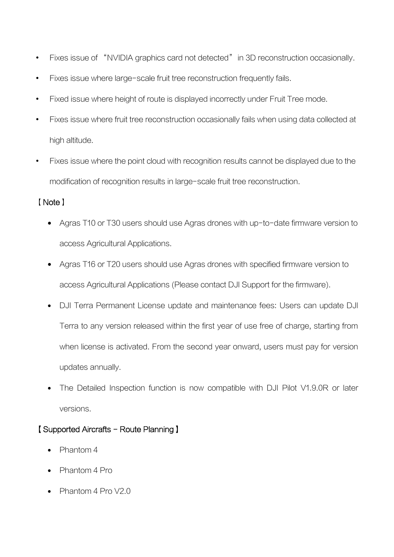- Fixes issue of "NVIDIA graphics card not detected" in 3D reconstruction occasionally.
- Fixes issue where large-scale fruit tree reconstruction frequently fails.
- Fixed issue where height of route is displayed incorrectly under Fruit Tree mode.
- Fixes issue where fruit tree reconstruction occasionally fails when using data collected at high altitude.
- Fixes issue where the point cloud with recognition results cannot be displayed due to the modification of recognition results in large-scale fruit tree reconstruction.

### 【Note】

- Agras T10 or T30 users should use Agras drones with up-to-date firmware version to access Agricultural Applications.
- Agras T16 or T20 users should use Agras drones with specified firmware version to access Agricultural Applications (Please contact DJI Support for the firmware).
- DJI Terra Permanent License update and maintenance fees: Users can update DJI Terra to any version released within the first year of use free of charge, starting from when license is activated. From the second year onward, users must pay for version updates annually.
- The Detailed Inspection function is now compatible with DJI Pilot V1.9.0R or later versions.

## 【Supported Aircrafts - Route Planning】

- Phantom 4
- Phantom 4 Pro
- $\bullet$  Phantom 4 Pro V2.0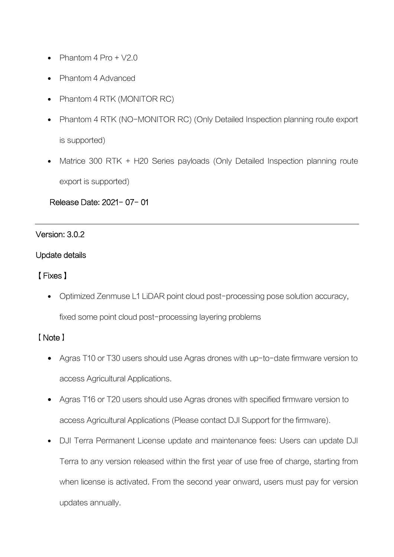- Phantom  $4$  Pro  $+$  V<sub>2</sub>.0
- Phantom 4 Advanced
- Phantom 4 RTK (MONITOR RC)
- Phantom 4 RTK (NO-MONITOR RC) (Only Detailed Inspection planning route export is supported)
- Matrice 300 RTK + H20 Series payloads (Only Detailed Inspection planning route export is supported)

### Release Date: 2021- 07- 01

### Version: 3.0.2

### Update details

### 【Fixes】

• Optimized Zenmuse L1 LiDAR point cloud post-processing pose solution accuracy,

fixed some point cloud post-processing layering problems

## 【Note】

- Agras T10 or T30 users should use Agras drones with up-to-date firmware version to access Agricultural Applications.
- Agras T16 or T20 users should use Agras drones with specified firmware version to access Agricultural Applications (Please contact DJI Support for the firmware).
- DJI Terra Permanent License update and maintenance fees: Users can update DJI Terra to any version released within the first year of use free of charge, starting from when license is activated. From the second year onward, users must pay for version updates annually.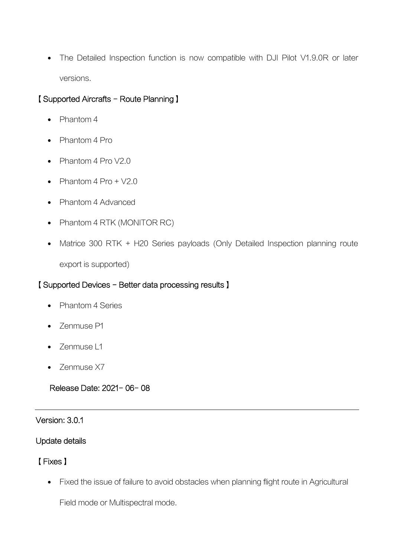• The Detailed Inspection function is now compatible with DJI Pilot V1.9.0R or later versions.

## 【Supported Aircrafts - Route Planning】

- Phantom 4
- Phantom 4 Pro
- Phantom 4 Pro V2.0
- Phantom  $4$  Pro +  $\sqrt{2.0}$
- Phantom 4 Advanced
- Phantom 4 RTK (MONITOR RC)
- Matrice 300 RTK + H20 Series payloads (Only Detailed Inspection planning route export is supported)

### 【Supported Devices - Better data processing results】

- Phantom 4 Series
- Zenmuse P1
- Zenmuse L1
- Zenmuse X7

Release Date: 2021- 06- 08

### Version: 3.0.1

### Update details

### 【Fixes】

Fixed the issue of failure to avoid obstacles when planning flight route in Agricultural

Field mode or Multispectral mode.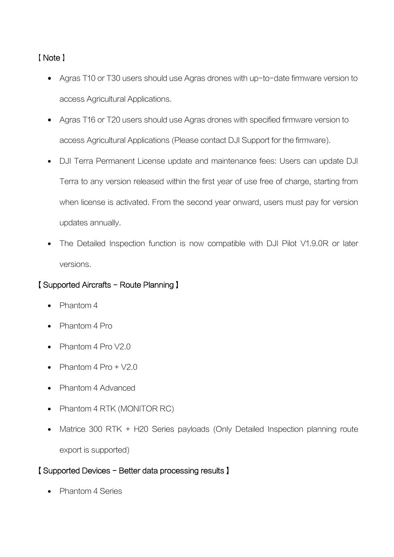## 【Note】

- Agras T10 or T30 users should use Agras drones with up-to-date firmware version to access Agricultural Applications.
- Agras T16 or T20 users should use Agras drones with specified firmware version to access Agricultural Applications (Please contact DJI Support for the firmware).
- DJI Terra Permanent License update and maintenance fees: Users can update DJI Terra to any version released within the first year of use free of charge, starting from when license is activated. From the second year onward, users must pay for version updates annually.
- The Detailed Inspection function is now compatible with DJI Pilot V1.9.0R or later versions.

## 【Supported Aircrafts - Route Planning】

- Phantom 4
- Phantom 4 Pro
- Phantom 4 Pro V2.0
- Phantom 4 Pro + V2.0
- Phantom 4 Advanced
- Phantom 4 RTK (MONITOR RC)
- Matrice 300 RTK + H20 Series payloads (Only Detailed Inspection planning route export is supported)

### 【Supported Devices - Better data processing results】

Phantom 4 Series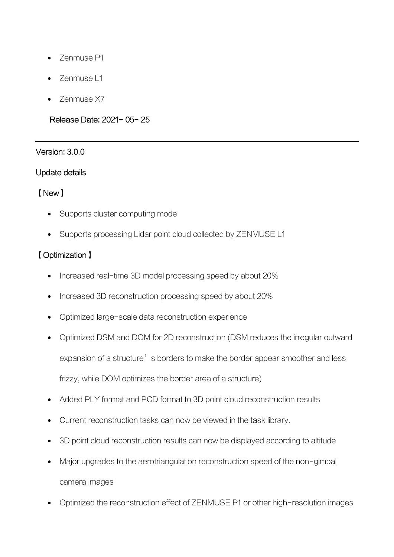- Zenmuse P1
- Zenmuse L1
- Zenmuse X7

### Release Date: 2021- 05- 25

### Version: 3.0.0

### Update details

### 【New】

- Supports cluster computing mode
- Supports processing Lidar point cloud collected by ZENMUSE L1

# 【Optimization】

- Increased real-time 3D model processing speed by about 20%
- Increased 3D reconstruction processing speed by about 20%
- Optimized large-scale data reconstruction experience
- Optimized DSM and DOM for 2D reconstruction (DSM reduces the irregular outward expansion of a structure's borders to make the border appear smoother and less frizzy, while DOM optimizes the border area of a structure)
- Added PLY format and PCD format to 3D point cloud reconstruction results
- Current reconstruction tasks can now be viewed in the task library.
- 3D point cloud reconstruction results can now be displayed according to altitude
- Major upgrades to the aerotriangulation reconstruction speed of the non-gimbal camera images
- Optimized the reconstruction effect of ZENMUSE P1 or other high-resolution images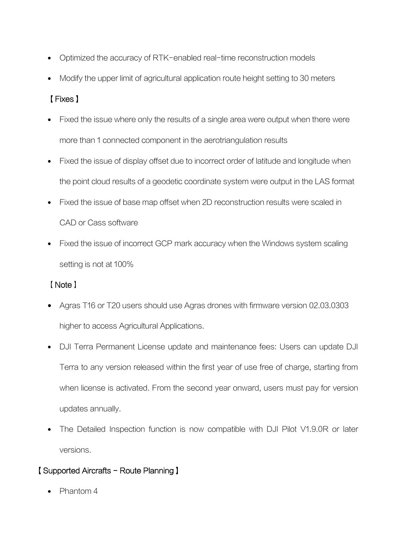- Optimized the accuracy of RTK-enabled real-time reconstruction models
- Modify the upper limit of agricultural application route height setting to 30 meters

# 【Fixes】

- Fixed the issue where only the results of a single area were output when there were more than 1 connected component in the aerotriangulation results
- Fixed the issue of display offset due to incorrect order of latitude and longitude when the point cloud results of a geodetic coordinate system were output in the LAS format
- Fixed the issue of base map offset when 2D reconstruction results were scaled in CAD or Cass software
- Fixed the issue of incorrect GCP mark accuracy when the Windows system scaling setting is not at 100%

## 【Note】

- Agras T16 or T20 users should use Agras drones with firmware version 02.03.0303 higher to access Agricultural Applications.
- DJI Terra Permanent License update and maintenance fees: Users can update DJI Terra to any version released within the first year of use free of charge, starting from when license is activated. From the second year onward, users must pay for version updates annually.
- The Detailed Inspection function is now compatible with DJI Pilot V1.9.0R or later versions.

## 【Supported Aircrafts - Route Planning】

Phantom 4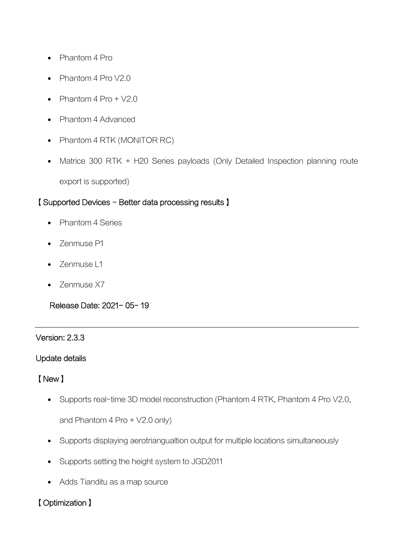- Phantom 4 Pro
- $\bullet$  Phantom 4 Pro V2.0
- Phantom 4 Pro + V2.0
- Phantom 4 Advanced
- Phantom 4 RTK (MONITOR RC)
- Matrice 300 RTK + H20 Series payloads (Only Detailed Inspection planning route export is supported)

### 【Supported Devices - Better data processing results】

- Phantom 4 Series
- **Zenmuse P1**
- Zenmuse L1
- Zenmuse X7

Release Date: 2021- 05- 19

#### Version: 2.3.3

#### Update details

### 【New】

• Supports real-time 3D model reconstruction (Phantom 4 RTK, Phantom 4 Pro V2.0,

and Phantom 4 Pro + V2.0 only)

- Supports displaying aerotriangualtion output for multiple locations simultaneously
- Supports setting the height system to JGD2011
- Adds Tianditu as a map source

### 【Optimization】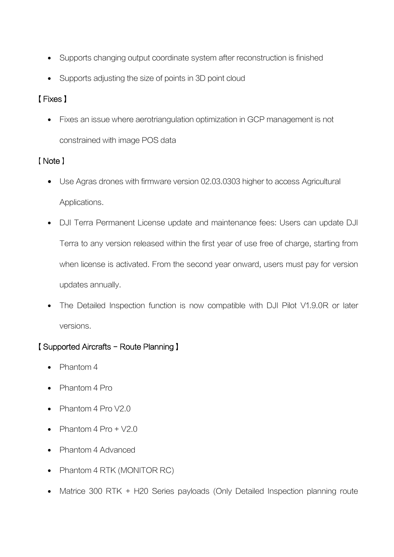- Supports changing output coordinate system after reconstruction is finished
- Supports adjusting the size of points in 3D point cloud

# 【Fixes】

 Fixes an issue where aerotriangulation optimization in GCP management is not constrained with image POS data

## 【Note】

- Use Agras drones with firmware version 02.03.0303 higher to access Agricultural Applications.
- DJI Terra Permanent License update and maintenance fees: Users can update DJI Terra to any version released within the first year of use free of charge, starting from when license is activated. From the second year onward, users must pay for version updates annually.
- The Detailed Inspection function is now compatible with DJI Pilot V1.9.0R or later versions.

## 【Supported Aircrafts - Route Planning】

- Phantom 4
- Phantom 4 Pro
- Phantom 4 Pro V2.0
- Phantom  $4$  Pro +  $\sqrt{2.0}$
- Phantom 4 Advanced
- Phantom 4 RTK (MONITOR RC)
- Matrice 300 RTK + H20 Series payloads (Only Detailed Inspection planning route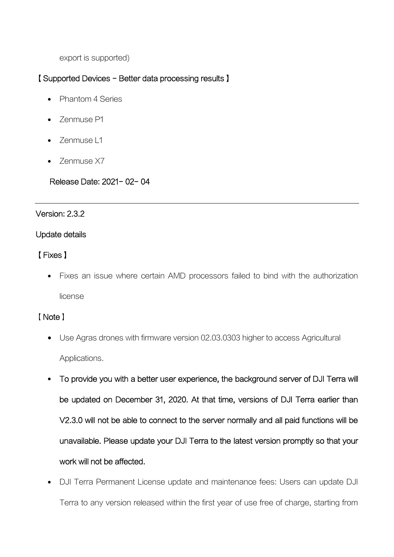export is supported)

### 【Supported Devices - Better data processing results】

- Phantom 4 Series
- Zenmuse P1
- Zenmuse L1
- Zenmuse X7

### Release Date: 2021- 02- 04

#### Version: 2.3.2

#### Update details

## 【Fixes】

 Fixes an issue where certain AMD processors failed to bind with the authorization license

### 【Note】

- Use Agras drones with firmware version 02.03.0303 higher to access Agricultural Applications.
- To provide you with a better user experience, the background server of DJI Terra will be updated on December 31, 2020. At that time, versions of DJI Terra earlier than V2.3.0 will not be able to connect to the server normally and all paid functions will be unavailable. Please update your DJI Terra to the latest version promptly so that your work will not be affected.
- DJI Terra Permanent License update and maintenance fees: Users can update DJI Terra to any version released within the first year of use free of charge, starting from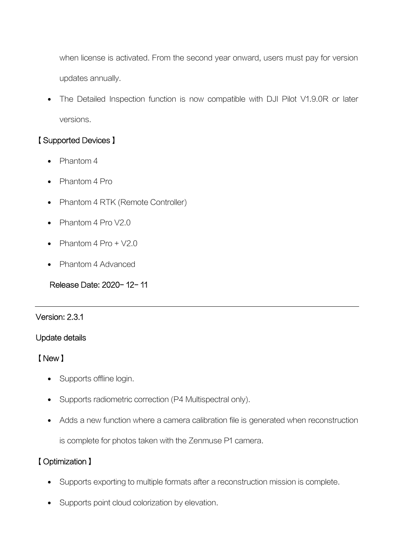when license is activated. From the second year onward, users must pay for version updates annually.

 The Detailed Inspection function is now compatible with DJI Pilot V1.9.0R or later versions.

## 【Supported Devices】

- Phantom 4
- Phantom 4 Pro
- Phantom 4 RTK (Remote Controller)
- Phantom  $4 \text{ Pro } V2.0$
- Phantom  $4 \text{ Pro } + \sqrt{2} \cdot 0$
- Phantom 4 Advanced

Release Date: 2020- 12- 11

#### Version: 2.3.1

## Update details

### 【New】

- Supports offline login.
- Supports radiometric correction (P4 Multispectral only).
- Adds a new function where a camera calibration file is generated when reconstruction

is complete for photos taken with the Zenmuse P1 camera.

## 【Optimization】

- Supports exporting to multiple formats after a reconstruction mission is complete.
- Supports point cloud colorization by elevation.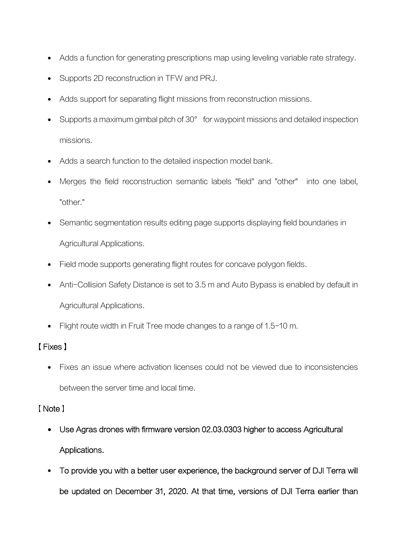- Adds a function for generating prescriptions map using leveling variable rate strategy.
- Supports 2D reconstruction in TFW and PRJ.
- Adds support for separating flight missions from reconstruction missions.
- Supports a maximum gimbal pitch of 30° for waypoint missions and detailed inspection missions.
- Adds a search function to the detailed inspection model bank.
- Merges the field reconstruction semantic labels "field" and "other" into one label, "other."
- Semantic segmentation results editing page supports displaying field boundaries in Agricultural Applications.
- Field mode supports generating flight routes for concave polygon fields.
- Anti-Collision Safety Distance is set to 3.5 m and Auto Bypass is enabled by default in Agricultural Applications.
- Flight route width in Fruit Tree mode changes to a range of 1.5-10 m.

# 【Fixes】

 Fixes an issue where activation licenses could not be viewed due to inconsistencies between the server time and local time.

## 【Note】

- Use Agras drones with firmware version 02.03.0303 higher to access Agricultural Applications.
- To provide you with a better user experience, the background server of DJI Terra will be updated on December 31, 2020. At that time, versions of DJI Terra earlier than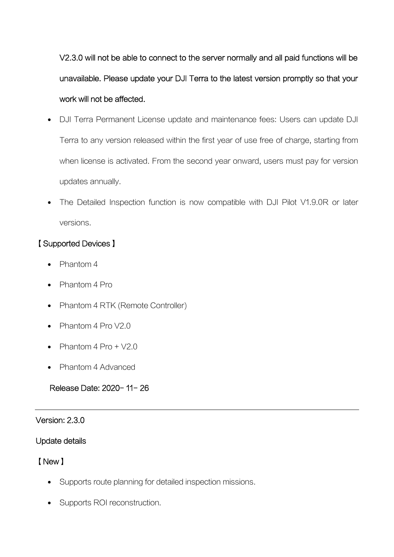V2.3.0 will not be able to connect to the server normally and all paid functions will be unavailable. Please update your DJI Terra to the latest version promptly so that your work will not be affected.

- DJI Terra Permanent License update and maintenance fees: Users can update DJI Terra to any version released within the first year of use free of charge, starting from when license is activated. From the second year onward, users must pay for version updates annually.
- The Detailed Inspection function is now compatible with DJI Pilot V1.9.0R or later versions.

## 【Supported Devices】

- Phantom 4
- Phantom 4 Pro
- Phantom 4 RTK (Remote Controller)
- $\bullet$  Phantom 4 Pro V2.0
- Phantom  $4$  Pro  $+$  V2.0
- Phantom 4 Advanced

## Release Date: 2020- 11- 26

### Version: 2.3.0

### Update details

## 【New】

- Supports route planning for detailed inspection missions.
- Supports ROI reconstruction.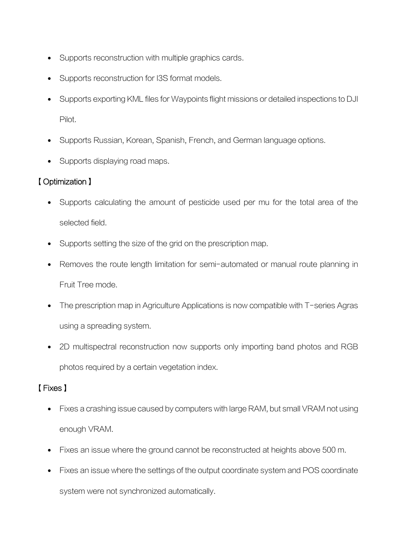- Supports reconstruction with multiple graphics cards.
- Supports reconstruction for I3S format models.
- Supports exporting KML files for Waypoints flight missions or detailed inspections to DJI Pilot.
- Supports Russian, Korean, Spanish, French, and German language options.
- Supports displaying road maps.

# 【Optimization】

- Supports calculating the amount of pesticide used per mu for the total area of the selected field.
- Supports setting the size of the grid on the prescription map.
- Removes the route length limitation for semi-automated or manual route planning in Fruit Tree mode.
- The prescription map in Agriculture Applications is now compatible with T-series Agras using a spreading system.
- 2D multispectral reconstruction now supports only importing band photos and RGB photos required by a certain vegetation index.

# 【Fixes】

- Fixes a crashing issue caused by computers with large RAM, but small VRAM not using enough VRAM.
- Fixes an issue where the ground cannot be reconstructed at heights above 500 m.
- Fixes an issue where the settings of the output coordinate system and POS coordinate system were not synchronized automatically.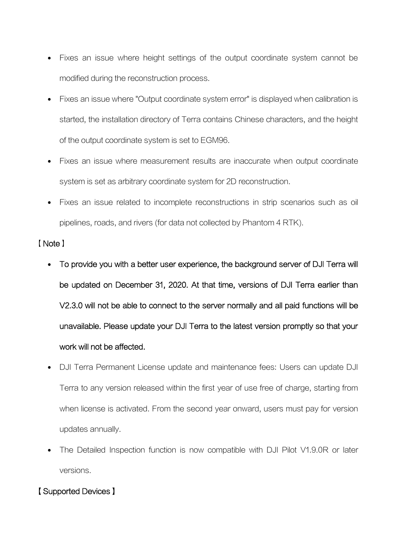- Fixes an issue where height settings of the output coordinate system cannot be modified during the reconstruction process.
- Fixes an issue where "Output coordinate system error" is displayed when calibration is started, the installation directory of Terra contains Chinese characters, and the height of the output coordinate system is set to EGM96.
- Fixes an issue where measurement results are inaccurate when output coordinate system is set as arbitrary coordinate system for 2D reconstruction.
- Fixes an issue related to incomplete reconstructions in strip scenarios such as oil pipelines, roads, and rivers (for data not collected by Phantom 4 RTK).

#### 【Note】

- To provide you with a better user experience, the background server of DJI Terra will be updated on December 31, 2020. At that time, versions of DJI Terra earlier than V2.3.0 will not be able to connect to the server normally and all paid functions will be unavailable. Please update your DJI Terra to the latest version promptly so that your work will not be affected.
- DJI Terra Permanent License update and maintenance fees: Users can update DJI Terra to any version released within the first year of use free of charge, starting from when license is activated. From the second year onward, users must pay for version updates annually.
- The Detailed Inspection function is now compatible with DJI Pilot V1.9.0R or later versions.

## 【Supported Devices】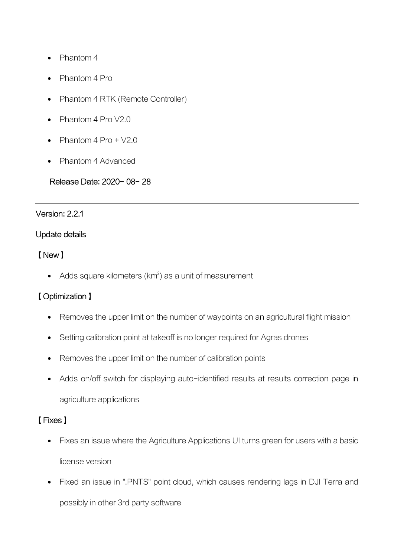- Phantom 4
- Phantom 4 Pro
- Phantom 4 RTK (Remote Controller)
- Phantom 4 Pro V2.0
- Phantom 4 Pro + V2.0
- Phantom 4 Advanced

### Release Date: 2020- 08- 28

#### Version: 2.2.1

#### Update details

## 【New】

• Adds square kilometers ( $km^2$ ) as a unit of measurement

## 【Optimization】

- Removes the upper limit on the number of waypoints on an agricultural flight mission
- Setting calibration point at takeoff is no longer required for Agras drones
- Removes the upper limit on the number of calibration points
- Adds on/off switch for displaying auto-identified results at results correction page in agriculture applications

# 【Fixes】

- Fixes an issue where the Agriculture Applications UI turns green for users with a basic license version
- Fixed an issue in ".PNTS" point cloud, which causes rendering lags in DJI Terra and possibly in other 3rd party software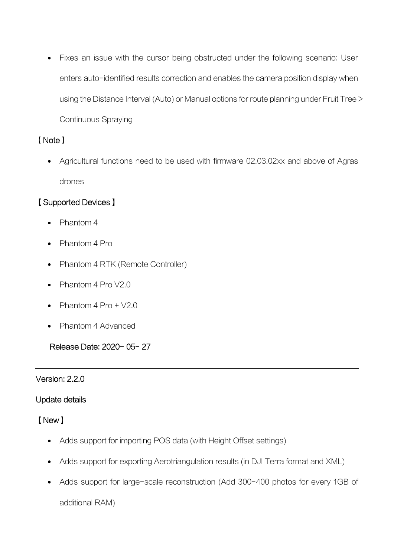Fixes an issue with the cursor being obstructed under the following scenario: User enters auto-identified results correction and enables the camera position display when using the Distance Interval (Auto) or Manual options for route planning under Fruit Tree > Continuous Spraying

### 【Note】

 Agricultural functions need to be used with firmware 02.03.02xx and above of Agras drones

## 【Supported Devices】

- Phantom 4
- Phantom 4 Pro
- Phantom 4 RTK (Remote Controller)
- Phantom 4 Pro V2.0
- Phantom 4 Pro + V2.0
- Phantom 4 Advanced

Release Date: 2020- 05- 27

### Version: 2.2.0

### Update details

### 【New】

- Adds support for importing POS data (with Height Offset settings)
- Adds support for exporting Aerotriangulation results (in DJI Terra format and XML)
- Adds support for large-scale reconstruction (Add 300-400 photos for every 1GB of

additional RAM)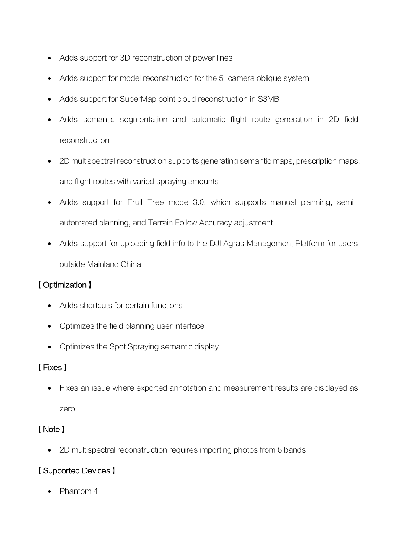- Adds support for 3D reconstruction of power lines
- Adds support for model reconstruction for the 5-camera oblique system
- Adds support for SuperMap point cloud reconstruction in S3MB
- Adds semantic segmentation and automatic flight route generation in 2D field reconstruction
- 2D multispectral reconstruction supports generating semantic maps, prescription maps, and flight routes with varied spraying amounts
- Adds support for Fruit Tree mode 3.0, which supports manual planning, semiautomated planning, and Terrain Follow Accuracy adjustment
- Adds support for uploading field info to the DJI Agras Management Platform for users outside Mainland China

## 【Optimization】

- Adds shortcuts for certain functions
- Optimizes the field planning user interface
- Optimizes the Spot Spraying semantic display

## 【Fixes】

Fixes an issue where exported annotation and measurement results are displayed as

zero

## 【Note】

2D multispectral reconstruction requires importing photos from 6 bands

## 【Supported Devices】

Phantom 4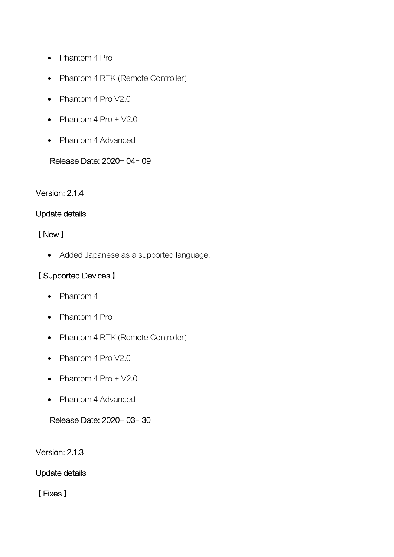- Phantom 4 Pro
- Phantom 4 RTK (Remote Controller)
- Phantom 4 Pro V2.0
- Phantom  $4$  Pro +  $\sqrt{2.0}$
- Phantom 4 Advanced

## Release Date: 2020- 04- 09

### Version: 2.1.4

#### Update details

### 【New】

Added Japanese as a supported language.

## 【Supported Devices】

- Phantom 4
- Phantom 4 Pro
- Phantom 4 RTK (Remote Controller)
- Phantom 4 Pro V2.0
- Phantom  $4$  Pro  $+$  V2.0
- Phantom 4 Advanced

### Release Date: 2020- 03- 30

Version: 2.1.3

Update details

【Fixes】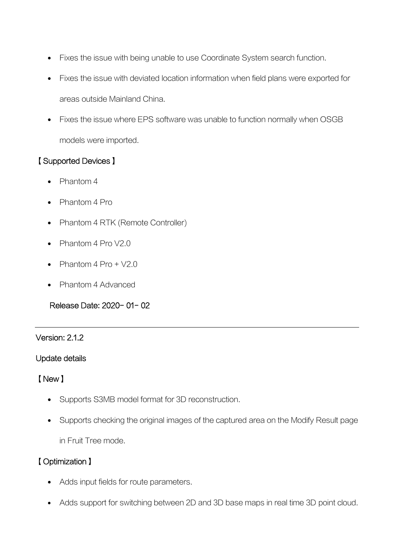- Fixes the issue with being unable to use Coordinate System search function.
- Fixes the issue with deviated location information when field plans were exported for areas outside Mainland China.
- Fixes the issue where EPS software was unable to function normally when OSGB models were imported.

## 【Supported Devices】

- Phantom 4
- Phantom 4 Pro
- Phantom 4 RTK (Remote Controller)
- $\bullet$  Phantom 4 Pro V2.0
- Phantom  $4$  Pro +  $\sqrt{2.0}$
- Phantom 4 Advanced

Release Date: 2020- 01- 02

### Version: 2.1.2

### Update details

## 【New】

- Supports S3MB model format for 3D reconstruction.
- Supports checking the original images of the captured area on the Modify Result page in Fruit Tree mode.

## 【Optimization】

- Adds input fields for route parameters.
- Adds support for switching between 2D and 3D base maps in real time 3D point cloud.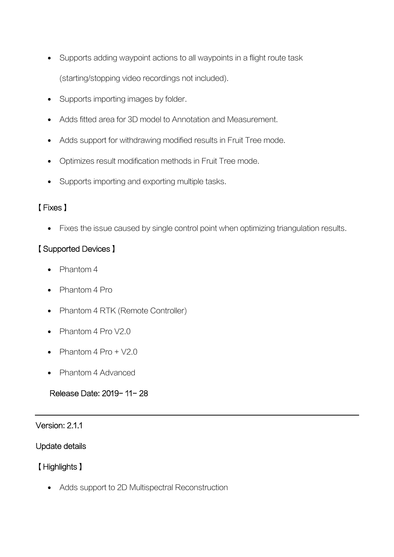- Supports adding waypoint actions to all waypoints in a flight route task (starting/stopping video recordings not included).
- Supports importing images by folder.
- Adds fitted area for 3D model to Annotation and Measurement.
- Adds support for withdrawing modified results in Fruit Tree mode.
- Optimizes result modification methods in Fruit Tree mode.
- Supports importing and exporting multiple tasks.

## 【Fixes】

Fixes the issue caused by single control point when optimizing triangulation results.

## 【Supported Devices】

- Phantom 4
- Phantom 4 Pro
- Phantom 4 RTK (Remote Controller)
- Phantom 4 Pro V2.0
- Phantom 4 Pro + V2.0
- Phantom 4 Advanced

## Release Date: 2019- 11- 28

### Version: 2.1.1

### Update details

## 【Highlights】

Adds support to 2D Multispectral Reconstruction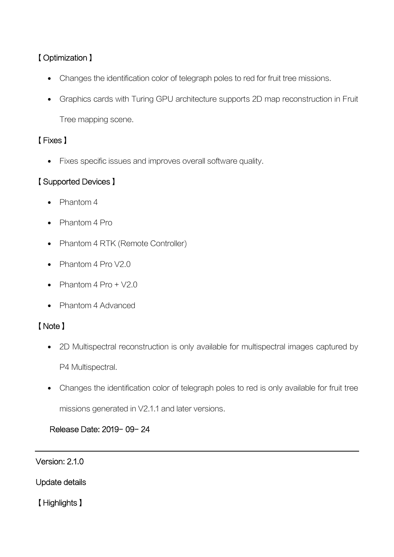# 【Optimization】

- Changes the identification color of telegraph poles to red for fruit tree missions.
- Graphics cards with Turing GPU architecture supports 2D map reconstruction in Fruit

Tree mapping scene.

# 【Fixes】

• Fixes specific issues and improves overall software quality.

# 【Supported Devices】

- Phantom 4
- Phantom 4 Pro
- Phantom 4 RTK (Remote Controller)
- Phantom 4 Pro V2.0
- Phantom 4 Pro + V2.0
- Phantom 4 Advanced

# 【Note】

- 2D Multispectral reconstruction is only available for multispectral images captured by P4 Multispectral.
- Changes the identification color of telegraph poles to red is only available for fruit tree

missions generated in V2.1.1 and later versions.

## Release Date: 2019- 09- 24

## Version: 2.1.0

Update details

【Highlights】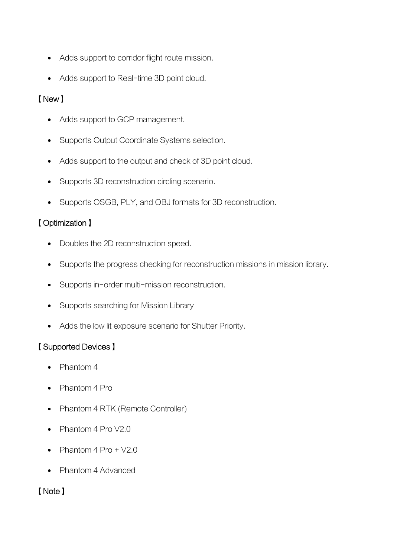- Adds support to corridor flight route mission.
- Adds support to Real-time 3D point cloud.

## 【New】

- Adds support to GCP management.
- Supports Output Coordinate Systems selection.
- Adds support to the output and check of 3D point cloud.
- Supports 3D reconstruction circling scenario.
- Supports OSGB, PLY, and OBJ formats for 3D reconstruction.

## 【Optimization】

- Doubles the 2D reconstruction speed.
- Supports the progress checking for reconstruction missions in mission library.
- Supports in-order multi-mission reconstruction.
- Supports searching for Mission Library
- Adds the low lit exposure scenario for Shutter Priority.

## 【Supported Devices】

- Phantom 4
- Phantom 4 Pro
- Phantom 4 RTK (Remote Controller)
- Phantom 4 Pro V2.0
- Phantom  $4$  Pro +  $\sqrt{2.0}$
- Phantom 4 Advanced

## 【Note】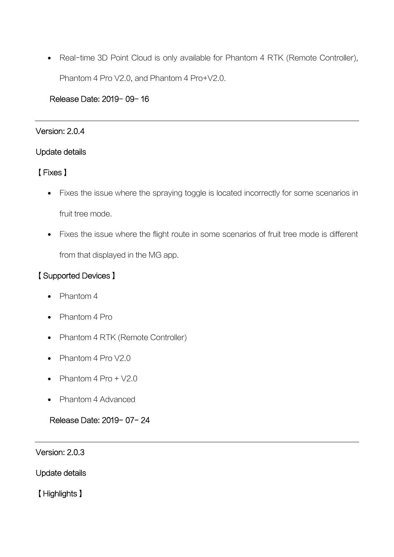• Real-time 3D Point Cloud is only available for Phantom 4 RTK (Remote Controller), Phantom 4 Pro V2.0, and Phantom 4 Pro+V2.0.

### Release Date: 2019- 09- 16

#### Version: 2.0.4

### Update details

### 【Fixes】

- Fixes the issue where the spraying toggle is located incorrectly for some scenarios in fruit tree mode.
- Fixes the issue where the flight route in some scenarios of fruit tree mode is different from that displayed in the MG app.

## 【Supported Devices】

- Phantom 4
- Phantom 4 Pro
- Phantom 4 RTK (Remote Controller)
- $\bullet$  Phantom 4 Pro V2.0
- Phantom  $4$  Pro +  $\sqrt{2.0}$
- Phantom 4 Advanced

## Release Date: 2019- 07- 24

Version: 2.0.3

Update details

【Highlights】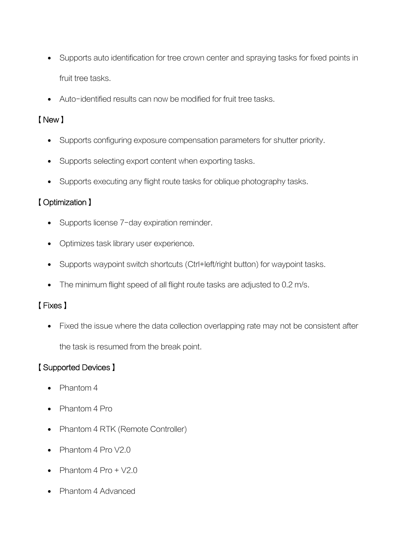- Supports auto identification for tree crown center and spraying tasks for fixed points in fruit tree tasks.
- Auto-identified results can now be modified for fruit tree tasks.

## 【New】

- Supports configuring exposure compensation parameters for shutter priority.
- Supports selecting export content when exporting tasks.
- Supports executing any flight route tasks for oblique photography tasks.

## 【Optimization】

- Supports license 7-day expiration reminder.
- Optimizes task library user experience.
- Supports waypoint switch shortcuts (Ctrl+left/right button) for waypoint tasks.
- The minimum flight speed of all flight route tasks are adjusted to 0.2 m/s.

## 【Fixes】

• Fixed the issue where the data collection overlapping rate may not be consistent after the task is resumed from the break point.

# 【Supported Devices】

- Phantom 4
- Phantom 4 Pro
- Phantom 4 RTK (Remote Controller)
- Phantom 4 Pro V2.0
- Phantom 4 Pro + V2.0
- Phantom 4 Advanced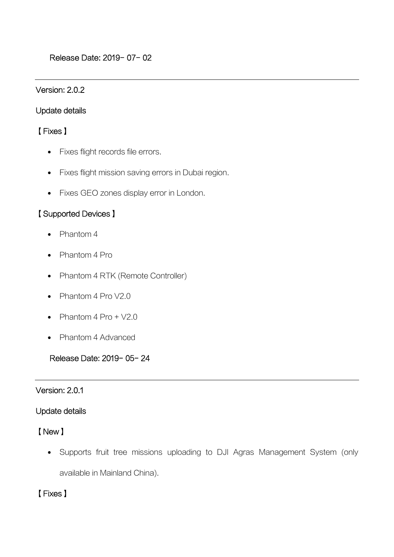#### Version: 2.0.2

#### Update details

### 【Fixes】

- Fixes flight records file errors.
- Fixes flight mission saving errors in Dubai region.
- Fixes GEO zones display error in London.

### 【Supported Devices】

- Phantom 4
- Phantom 4 Pro
- Phantom 4 RTK (Remote Controller)
- Phantom 4 Pro V2.0
- Phantom  $4$  Pro  $+$   $\sqrt{2.0}$
- Phantom 4 Advanced

Release Date: 2019- 05- 24

#### Version: 2.0.1

### Update details

## 【New】

 Supports fruit tree missions uploading to DJI Agras Management System (only available in Mainland China).

## 【Fixes】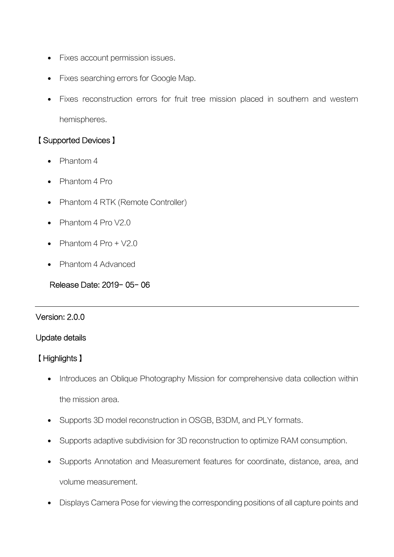- Fixes account permission issues.
- Fixes searching errors for Google Map.
- Fixes reconstruction errors for fruit tree mission placed in southern and western hemispheres.

## 【Supported Devices】

- Phantom 4
- Phantom 4 Pro
- Phantom 4 RTK (Remote Controller)
- $\bullet$  Phantom 4 Pro V2.0
- Phantom  $4 \text{ Pro } + \sqrt{2} \cdot 0$
- Phantom 4 Advanced

Release Date: 2019- 05- 06

#### Version: 2.0.0

### Update details

## 【Highlights】

- Introduces an Oblique Photography Mission for comprehensive data collection within the mission area.
- Supports 3D model reconstruction in OSGB, B3DM, and PLY formats.
- Supports adaptive subdivision for 3D reconstruction to optimize RAM consumption.
- Supports Annotation and Measurement features for coordinate, distance, area, and volume measurement.
- Displays Camera Pose for viewing the corresponding positions of all capture points and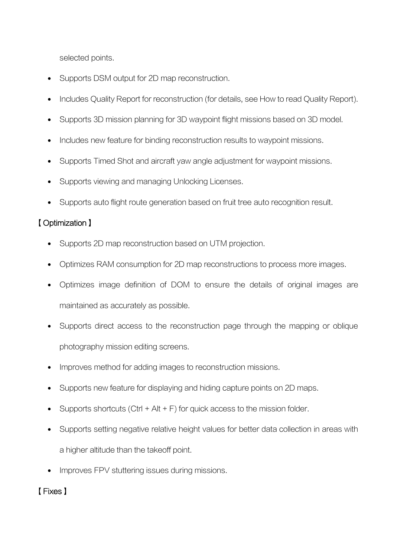selected points.

- Supports DSM output for 2D map reconstruction.
- Includes Quality Report for reconstruction (for details, see How to read Quality Report).
- Supports 3D mission planning for 3D waypoint flight missions based on 3D model.
- Includes new feature for binding reconstruction results to waypoint missions.
- Supports Timed Shot and aircraft yaw angle adjustment for waypoint missions.
- Supports viewing and managing Unlocking Licenses.
- Supports auto flight route generation based on fruit tree auto recognition result.

## 【Optimization】

- Supports 2D map reconstruction based on UTM projection.
- Optimizes RAM consumption for 2D map reconstructions to process more images.
- Optimizes image definition of DOM to ensure the details of original images are maintained as accurately as possible.
- Supports direct access to the reconstruction page through the mapping or oblique photography mission editing screens.
- Improves method for adding images to reconstruction missions.
- Supports new feature for displaying and hiding capture points on 2D maps.
- Supports shortcuts (Ctrl  $+$  Alt  $+$  F) for quick access to the mission folder.
- Supports setting negative relative height values for better data collection in areas with a higher altitude than the takeoff point.
- Improves FPV stuttering issues during missions.

## 【Fixes】